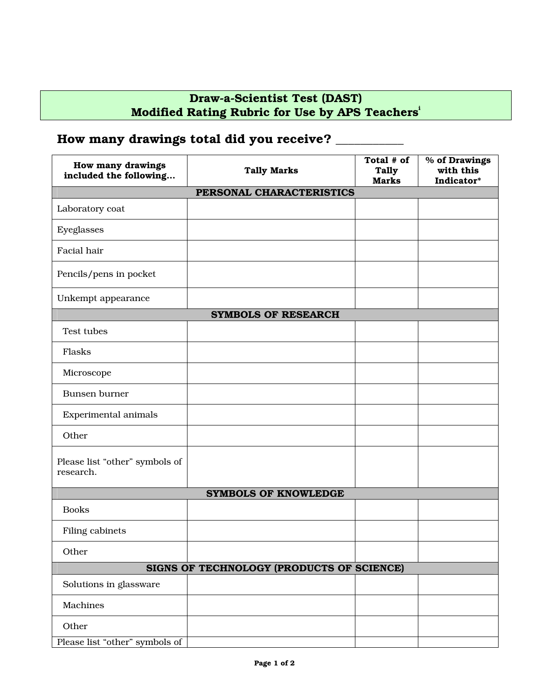## **Draw-a-Scientist Test (DAST) Modified Rating Rubric for Use by APS Teacher[si](#page-1-0)**

## **How many drawings total did you receive? \_\_\_\_\_\_\_\_\_\_\_**

| <b>How many drawings</b><br>included the following | <b>Tally Marks</b> | Total # of<br><b>Tally</b><br><b>Marks</b> | % of Drawings<br>with this<br>Indicator* |  |  |
|----------------------------------------------------|--------------------|--------------------------------------------|------------------------------------------|--|--|
| PERSONAL CHARACTERISTICS                           |                    |                                            |                                          |  |  |
| Laboratory coat                                    |                    |                                            |                                          |  |  |
| Eyeglasses                                         |                    |                                            |                                          |  |  |
| Facial hair                                        |                    |                                            |                                          |  |  |
| Pencils/pens in pocket                             |                    |                                            |                                          |  |  |
| Unkempt appearance                                 |                    |                                            |                                          |  |  |
| <b>SYMBOLS OF RESEARCH</b>                         |                    |                                            |                                          |  |  |
| Test tubes                                         |                    |                                            |                                          |  |  |
| Flasks                                             |                    |                                            |                                          |  |  |
| Microscope                                         |                    |                                            |                                          |  |  |
| Bunsen burner                                      |                    |                                            |                                          |  |  |
| Experimental animals                               |                    |                                            |                                          |  |  |
| Other                                              |                    |                                            |                                          |  |  |
| Please list "other" symbols of<br>research.        |                    |                                            |                                          |  |  |
| <b>SYMBOLS OF KNOWLEDGE</b>                        |                    |                                            |                                          |  |  |
| <b>Books</b>                                       |                    |                                            |                                          |  |  |
| Filing cabinets                                    |                    |                                            |                                          |  |  |
| Other                                              |                    |                                            |                                          |  |  |
| SIGNS OF TECHNOLOGY (PRODUCTS OF SCIENCE)          |                    |                                            |                                          |  |  |
| Solutions in glassware                             |                    |                                            |                                          |  |  |
| Machines                                           |                    |                                            |                                          |  |  |
| Other                                              |                    |                                            |                                          |  |  |
| Please list "other" symbols of                     |                    |                                            |                                          |  |  |